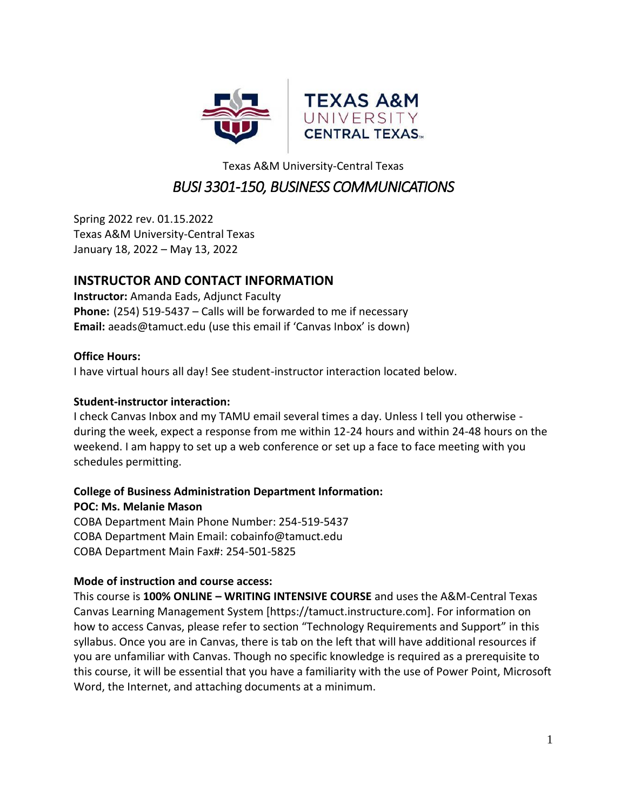

# Texas A&M University-Central Texas *BUSI 3301-150, BUSINESS COMMUNICATIONS*

Spring 2022 rev. 01.15.2022 Texas A&M University-Central Texas January 18, 2022 – May 13, 2022

# **INSTRUCTOR AND CONTACT INFORMATION**

**Instructor:** Amanda Eads, Adjunct Faculty **Phone:** (254) 519-5437 – Calls will be forwarded to me if necessary **Email:** aeads@tamuct.edu (use this email if 'Canvas Inbox' is down)

# **Office Hours:**

I have virtual hours all day! See student-instructor interaction located below.

# **Student-instructor interaction:**

I check Canvas Inbox and my TAMU email several times a day. Unless I tell you otherwise during the week, expect a response from me within 12-24 hours and within 24-48 hours on the weekend. I am happy to set up a web conference or set up a face to face meeting with you schedules permitting.

# **College of Business Administration Department Information:**

**POC: Ms. Melanie Mason** COBA Department Main Phone Number: 254-519-5437 COBA Department Main Email: [cobainfo@tamuct.edu](https://exchange.tamu.edu/owa/redir.aspx?C=9AT6pQW5MU-k040V3QS5CyHxrKgMkdEI0uu538aFcfI4z4qHNg8n1CcWCulDL5ivwSI5eXy2XJM.&URL=mailto%3acobainfo%40tamuct.edu)

COBA Department Main Fax#: 254-501-5825

# **Mode of instruction and course access:**

This course is **100% ONLINE – WRITING INTENSIVE COURSE** and uses the A&M-Central Texas Canvas Learning Management System [https://tamuct.instructure.com]. For information on how to access Canvas, please refer to section "Technology Requirements and Support" in this syllabus. Once you are in Canvas, there is tab on the left that will have additional resources if you are unfamiliar with Canvas. Though no specific knowledge is required as a prerequisite to this course, it will be essential that you have a familiarity with the use of Power Point, Microsoft Word, the Internet, and attaching documents at a minimum.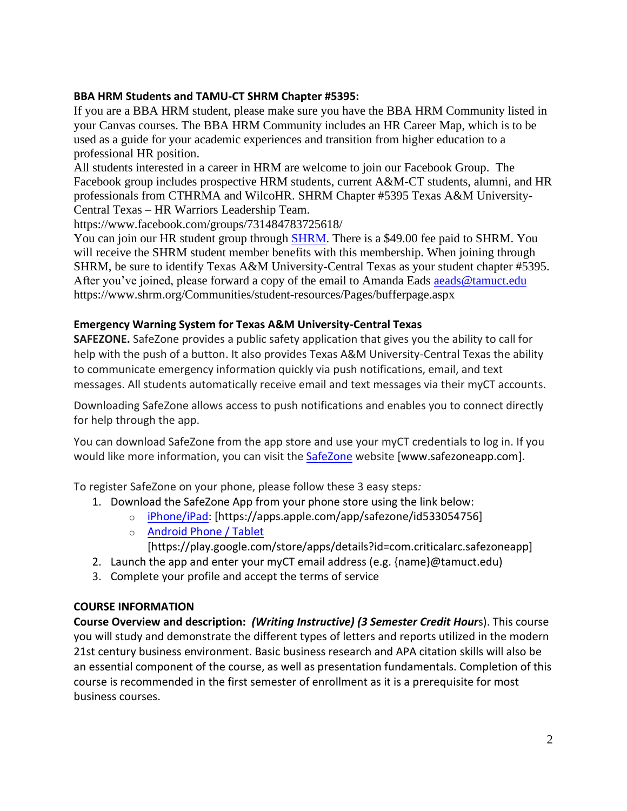### **BBA HRM Students and TAMU-CT SHRM Chapter #5395:**

If you are a BBA HRM student, please make sure you have the BBA HRM Community listed in your Canvas courses. The BBA HRM Community includes an HR Career Map, which is to be used as a guide for your academic experiences and transition from higher education to a professional HR position.

All students interested in a career in HRM are welcome to join our Facebook Group. The Facebook group includes prospective HRM students, current A&M-CT students, alumni, and HR professionals from CTHRMA and WilcoHR. SHRM Chapter #5395 Texas A&M University-Central Texas – HR Warriors Leadership Team.

https://www.facebook.com/groups/731484783725618/

You can join our HR student group through [SHRM.](https://www.shrm.org/Communities/student-resources/Pages/bufferpage.aspx) There is a \$49.00 fee paid to SHRM. You will receive the SHRM student member benefits with this membership. When joining through SHRM, be sure to identify Texas A&M University-Central Texas as your student chapter #5395. After you've joined, please forward a copy of the email to Amanda Eads aeads @tamuct.edu https://www.shrm.org/Communities/student-resources/Pages/bufferpage.aspx

# **Emergency Warning System for Texas A&M University-Central Texas**

**SAFEZONE.** SafeZone provides a public safety application that gives you the ability to call for help with the push of a button. It also provides Texas A&M University-Central Texas the ability to communicate emergency information quickly via push notifications, email, and text messages. All students automatically receive email and text messages via their myCT accounts.

Downloading SafeZone allows access to push notifications and enables you to connect directly for help through the app.

You can download SafeZone from the app store and use your myCT credentials to log in. If you would like more information, you can visit the [SafeZone](http://www.safezoneapp.com/) website [www.safezoneapp.com].

To register SafeZone on your phone, please follow these 3 easy steps*:*

- 1. Download the SafeZone App from your phone store using the link below:
	- o [iPhone/iPad:](https://apps.apple.com/app/safezone/id533054756) [https://apps.apple.com/app/safezone/id533054756]
	- o [Android Phone / Tablet](https://play.google.com/store/apps/details?id=com.criticalarc.safezoneapp) [https://play.google.com/store/apps/details?id=com.criticalarc.safezoneapp]
- 2. Launch the app and enter your myCT email address (e.g. {name}@tamuct.edu)
- 3. Complete your profile and accept the terms of service

# **COURSE INFORMATION**

**Course Overview and description:** *(Writing Instructive) (3 Semester Credit Hour*s). This course you will study and demonstrate the different types of letters and reports utilized in the modern 21st century business environment. Basic business research and APA citation skills will also be an essential component of the course, as well as presentation fundamentals. Completion of this course is recommended in the first semester of enrollment as it is a prerequisite for most business courses.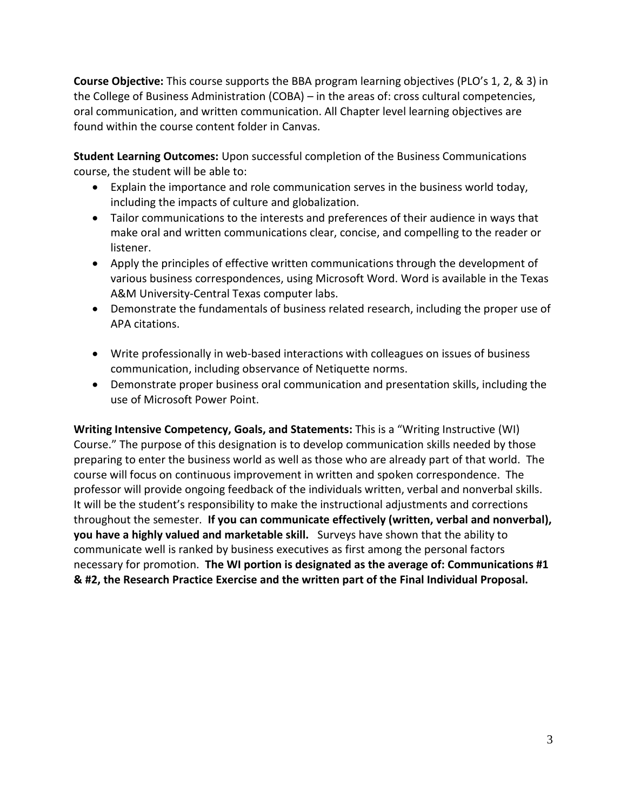**Course Objective:** This course supports the BBA program learning objectives (PLO's 1, 2, & 3) in the College of Business Administration (COBA) – in the areas of: cross cultural competencies, oral communication, and written communication. All Chapter level learning objectives are found within the course content folder in Canvas.

**Student Learning Outcomes:** Upon successful completion of the Business Communications course, the student will be able to:

- Explain the importance and role communication serves in the business world today, including the impacts of culture and globalization.
- Tailor communications to the interests and preferences of their audience in ways that make oral and written communications clear, concise, and compelling to the reader or listener.
- Apply the principles of effective written communications through the development of various business correspondences, using Microsoft Word. Word is available in the Texas A&M University-Central Texas computer labs.
- Demonstrate the fundamentals of business related research, including the proper use of APA citations.
- Write professionally in web-based interactions with colleagues on issues of business communication, including observance of Netiquette norms.
- Demonstrate proper business oral communication and presentation skills, including the use of Microsoft Power Point.

**Writing Intensive Competency, Goals, and Statements:** This is a "Writing Instructive (WI) Course." The purpose of this designation is to develop communication skills needed by those preparing to enter the business world as well as those who are already part of that world. The course will focus on continuous improvement in written and spoken correspondence. The professor will provide ongoing feedback of the individuals written, verbal and nonverbal skills. It will be the student's responsibility to make the instructional adjustments and corrections throughout the semester. **If you can communicate effectively (written, verbal and nonverbal), you have a highly valued and marketable skill.** Surveys have shown that the ability to communicate well is ranked by business executives as first among the personal factors necessary for promotion. **The WI portion is designated as the average of: Communications #1 & #2, the Research Practice Exercise and the written part of the Final Individual Proposal.**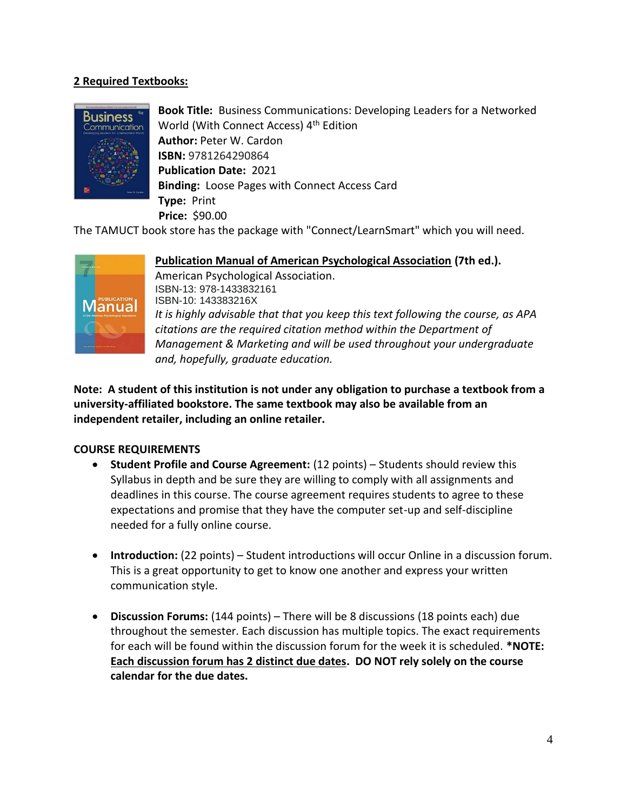# **2 Required Textbooks:**



**Book Title:** Business Communications: Developing Leaders for a Networked World (With Connect Access) 4<sup>th</sup> Edition **Author:** Peter W. Cardon **ISBN:** 9781264290864 **Publication Date:** 2021 **Binding:** Loose Pages with Connect Access Card **Type:** Print  **Price:** \$90.00

The TAMUCT book store has the package with "Connect/LearnSmart" which you will need.



**Publication Manual of American Psychological Association (7th ed.).** 

American Psychological Association. ISBN-13: 978-1433832161 ISBN-10: 143383216X *It is highly advisable that that you keep this text following the course, as APA citations are the required citation method within the Department of Management & Marketing and will be used throughout your undergraduate and, hopefully, graduate education.*

**Note: A student of this institution is not under any obligation to purchase a textbook from a university-affiliated bookstore. The same textbook may also be available from an independent retailer, including an online retailer.**

# **COURSE REQUIREMENTS**

- **Student Profile and Course Agreement:** (12 points) Students should review this Syllabus in depth and be sure they are willing to comply with all assignments and deadlines in this course. The course agreement requires students to agree to these expectations and promise that they have the computer set-up and self-discipline needed for a fully online course.
- **Introduction:** (22 points) Student introductions will occur Online in a discussion forum. This is a great opportunity to get to know one another and express your written communication style.
- **Discussion Forums:** (144 points) There will be 8 discussions (18 points each) due throughout the semester. Each discussion has multiple topics. The exact requirements for each will be found within the discussion forum for the week it is scheduled. **\*NOTE: Each discussion forum has 2 distinct due dates. DO NOT rely solely on the course calendar for the due dates.**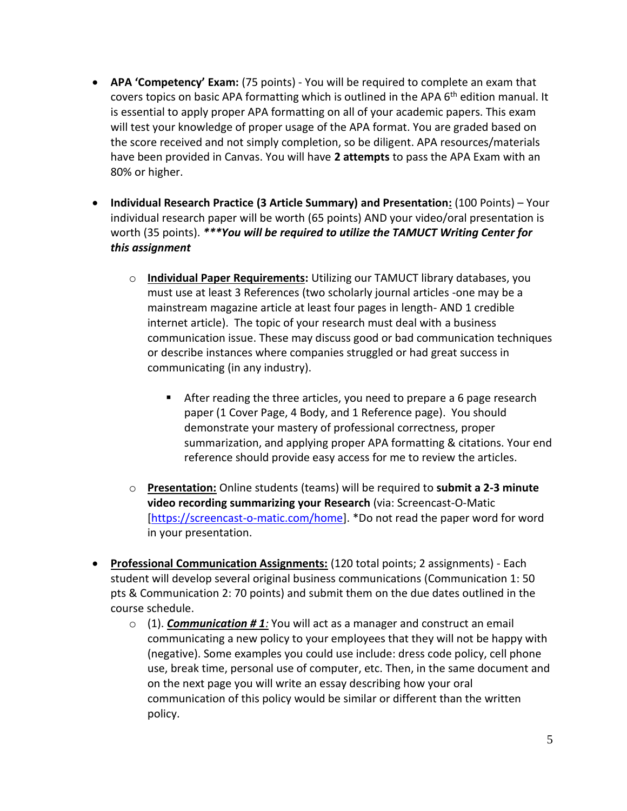- **APA 'Competency' Exam:** (75 points) You will be required to complete an exam that covers topics on basic APA formatting which is outlined in the APA 6<sup>th</sup> edition manual. It is essential to apply proper APA formatting on all of your academic papers. This exam will test your knowledge of proper usage of the APA format. You are graded based on the score received and not simply completion, so be diligent. APA resources/materials have been provided in Canvas. You will have **2 attempts** to pass the APA Exam with an 80% or higher.
- **Individual Research Practice (3 Article Summary) and Presentation:** (100 Points) Your individual research paper will be worth (65 points) AND your video/oral presentation is worth (35 points). *\*\*\*You will be required to utilize the TAMUCT Writing Center for this assignment*
	- o **Individual Paper Requirements:** Utilizing our TAMUCT library databases, you must use at least 3 References (two scholarly journal articles -one may be a mainstream magazine article at least four pages in length- AND 1 credible internet article). The topic of your research must deal with a business communication issue. These may discuss good or bad communication techniques or describe instances where companies struggled or had great success in communicating (in any industry).
		- After reading the three articles, you need to prepare a 6 page research paper (1 Cover Page, 4 Body, and 1 Reference page). You should demonstrate your mastery of professional correctness, proper summarization, and applying proper APA formatting & citations. Your end reference should provide easy access for me to review the articles.
	- o **Presentation:** Online students (teams) will be required to **submit a 2-3 minute video recording summarizing your Research** (via: Screencast-O-Matic [\[https://screencast-o-matic.com/home\]](https://screencast-o-matic.com/home). \*Do not read the paper word for word in your presentation.
- **Professional Communication Assignments:** (120 total points; 2 assignments) Each student will develop several original business communications (Communication 1: 50 pts & Communication 2: 70 points) and submit them on the due dates outlined in the course schedule.
	- o (1). *Communication # 1:* You will act as a manager and construct an email communicating a new policy to your employees that they will not be happy with (negative). Some examples you could use include: dress code policy, cell phone use, break time, personal use of computer, etc. Then, in the same document and on the next page you will write an essay describing how your oral communication of this policy would be similar or different than the written policy.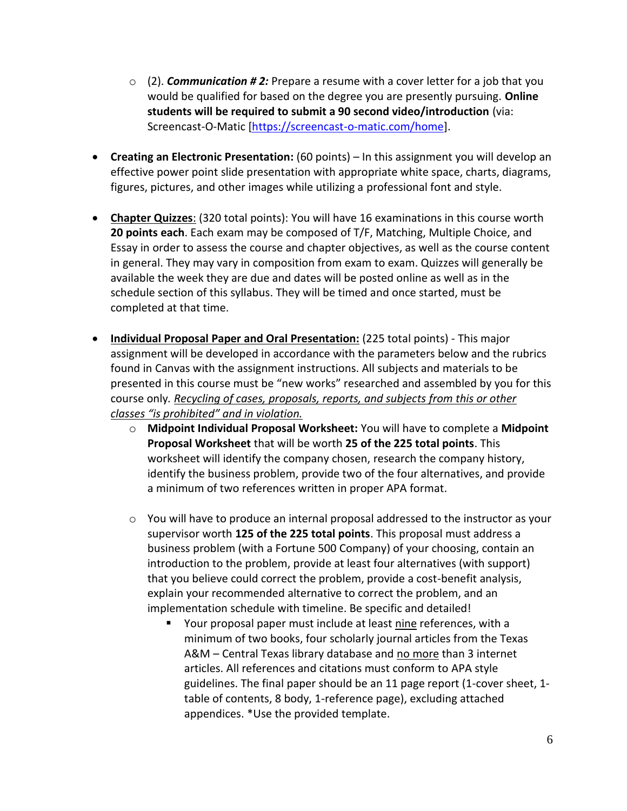- o (2). *Communication # 2:* Prepare a resume with a cover letter for a job that you would be qualified for based on the degree you are presently pursuing. **Online students will be required to submit a 90 second video/introduction** (via: Screencast-O-Matic [\[https://screencast-o-matic.com/home\]](https://screencast-o-matic.com/home).
- **Creating an Electronic Presentation:** (60 points) In this assignment you will develop an effective power point slide presentation with appropriate white space, charts, diagrams, figures, pictures, and other images while utilizing a professional font and style.
- **Chapter Quizzes**: (320 total points): You will have 16 examinations in this course worth **20 points each**. Each exam may be composed of T/F, Matching, Multiple Choice, and Essay in order to assess the course and chapter objectives, as well as the course content in general. They may vary in composition from exam to exam. Quizzes will generally be available the week they are due and dates will be posted online as well as in the schedule section of this syllabus. They will be timed and once started, must be completed at that time.
- **Individual Proposal Paper and Oral Presentation:** (225 total points) This major assignment will be developed in accordance with the parameters below and the rubrics found in Canvas with the assignment instructions. All subjects and materials to be presented in this course must be "new works" researched and assembled by you for this course only*. Recycling of cases, proposals, reports, and subjects from this or other classes "is prohibited" and in violation.*
	- o **Midpoint Individual Proposal Worksheet:** You will have to complete a **Midpoint Proposal Worksheet** that will be worth **25 of the 225 total points**. This worksheet will identify the company chosen, research the company history, identify the business problem, provide two of the four alternatives, and provide a minimum of two references written in proper APA format.
	- $\circ$  You will have to produce an internal proposal addressed to the instructor as your supervisor worth **125 of the 225 total points**. This proposal must address a business problem (with a Fortune 500 Company) of your choosing, contain an introduction to the problem, provide at least four alternatives (with support) that you believe could correct the problem, provide a cost-benefit analysis, explain your recommended alternative to correct the problem, and an implementation schedule with timeline. Be specific and detailed!
		- Your proposal paper must include at least nine references, with a minimum of two books, four scholarly journal articles from the Texas A&M - Central Texas library database and no more than 3 internet articles. All references and citations must conform to APA style guidelines. The final paper should be an 11 page report (1-cover sheet, 1 table of contents, 8 body, 1-reference page), excluding attached appendices. \*Use the provided template.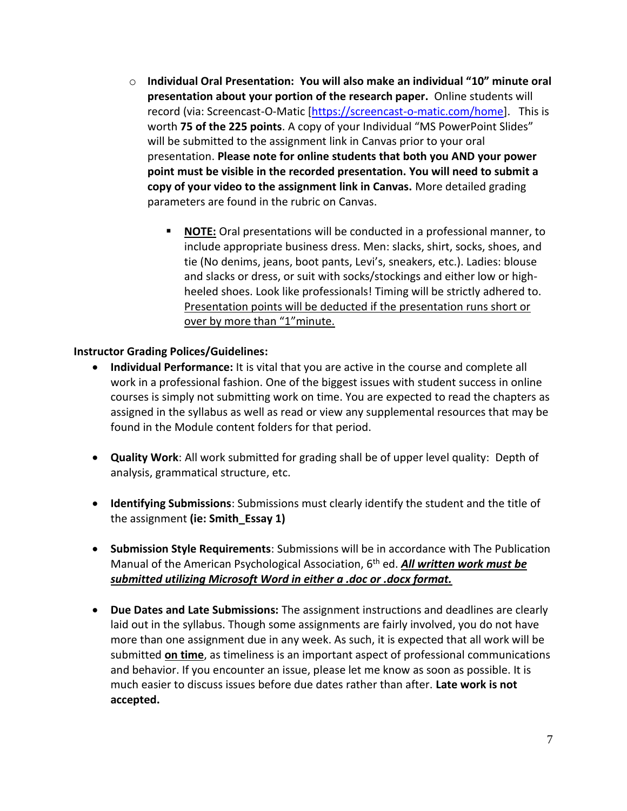- o **Individual Oral Presentation: You will also make an individual "10" minute oral presentation about your portion of the research paper.** Online students will record (via: Screencast-O-Matic [\[https://screencast-o-matic.com/home\]](https://screencast-o-matic.com/home). This is worth **75 of the 225 points**. A copy of your Individual "MS PowerPoint Slides" will be submitted to the assignment link in Canvas prior to your oral presentation. **Please note for online students that both you AND your power point must be visible in the recorded presentation. You will need to submit a copy of your video to the assignment link in Canvas.** More detailed grading parameters are found in the rubric on Canvas.
	- NOTE: Oral presentations will be conducted in a professional manner, to include appropriate business dress. Men: slacks, shirt, socks, shoes, and tie (No denims, jeans, boot pants, Levi's, sneakers, etc.). Ladies: blouse and slacks or dress, or suit with socks/stockings and either low or highheeled shoes. Look like professionals! Timing will be strictly adhered to. Presentation points will be deducted if the presentation runs short or over by more than "1"minute.

### **Instructor Grading Polices/Guidelines:**

- **Individual Performance:** It is vital that you are active in the course and complete all work in a professional fashion. One of the biggest issues with student success in online courses is simply not submitting work on time. You are expected to read the chapters as assigned in the syllabus as well as read or view any supplemental resources that may be found in the Module content folders for that period.
- **Quality Work**: All work submitted for grading shall be of upper level quality: Depth of analysis, grammatical structure, etc.
- **Identifying Submissions**: Submissions must clearly identify the student and the title of the assignment **(ie: Smith\_Essay 1)**
- **Submission Style Requirements**: Submissions will be in accordance with The Publication Manual of the American Psychological Association, 6th ed. *All written work must be submitted utilizing Microsoft Word in either a .doc or .docx format.*
- **Due Dates and Late Submissions:** The assignment instructions and deadlines are clearly laid out in the syllabus. Though some assignments are fairly involved, you do not have more than one assignment due in any week. As such, it is expected that all work will be submitted **on time**, as timeliness is an important aspect of professional communications and behavior. If you encounter an issue, please let me know as soon as possible. It is much easier to discuss issues before due dates rather than after. **Late work is not accepted.**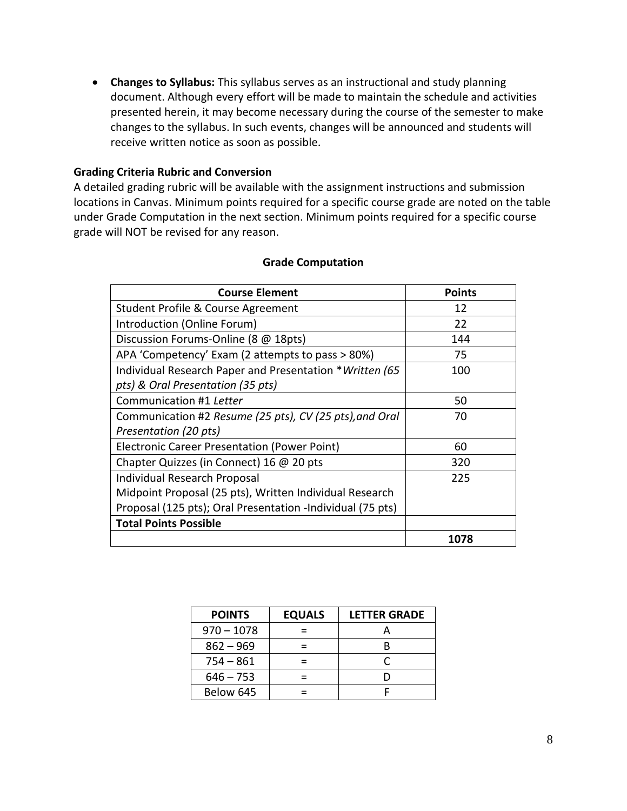• **Changes to Syllabus:** This syllabus serves as an instructional and study planning document. Although every effort will be made to maintain the schedule and activities presented herein, it may become necessary during the course of the semester to make changes to the syllabus. In such events, changes will be announced and students will receive written notice as soon as possible.

#### **Grading Criteria Rubric and Conversion**

A detailed grading rubric will be available with the assignment instructions and submission locations in Canvas. Minimum points required for a specific course grade are noted on the table under Grade Computation in the next section. Minimum points required for a specific course grade will NOT be revised for any reason.

| <b>Course Element</b>                                      | <b>Points</b> |
|------------------------------------------------------------|---------------|
| Student Profile & Course Agreement                         | 12            |
| Introduction (Online Forum)                                | 22            |
| Discussion Forums-Online (8 @ 18pts)                       | 144           |
| APA 'Competency' Exam (2 attempts to pass > 80%)           | 75            |
| Individual Research Paper and Presentation *Written (65    | 100           |
| pts) & Oral Presentation (35 pts)                          |               |
| Communication #1 Letter                                    | 50            |
| Communication #2 Resume (25 pts), CV (25 pts), and Oral    | 70            |
| Presentation (20 pts)                                      |               |
| Electronic Career Presentation (Power Point)               | 60            |
| Chapter Quizzes (in Connect) 16 @ 20 pts                   | 320           |
| Individual Research Proposal                               | 225           |
| Midpoint Proposal (25 pts), Written Individual Research    |               |
| Proposal (125 pts); Oral Presentation -Individual (75 pts) |               |
| <b>Total Points Possible</b>                               |               |
|                                                            | 1078          |

#### **Grade Computation**

| <b>POINTS</b> | <b>EQUALS</b> | <b>LETTER GRADE</b> |
|---------------|---------------|---------------------|
| $970 - 1078$  |               |                     |
| $862 - 969$   |               |                     |
| $754 - 861$   |               |                     |
| $646 - 753$   |               |                     |
| Below 645     |               |                     |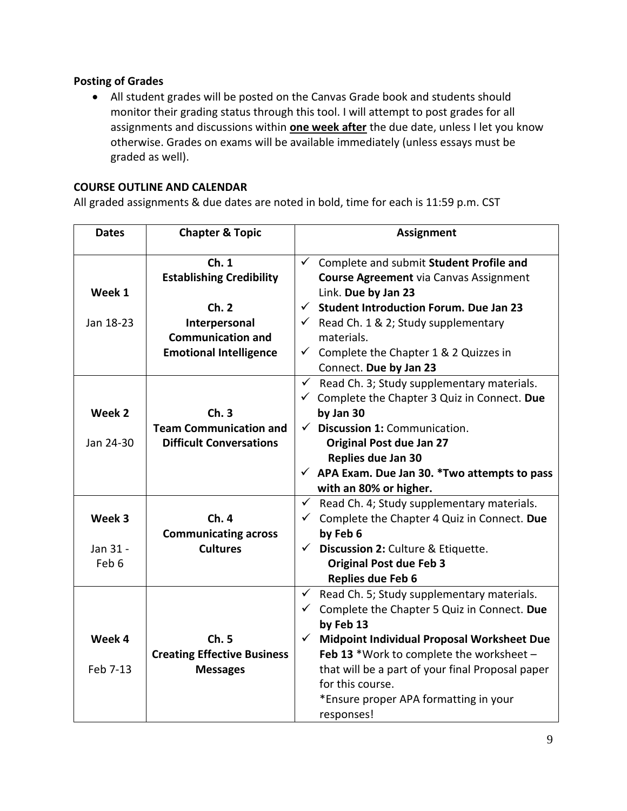# **Posting of Grades**

• All student grades will be posted on the Canvas Grade book and students should monitor their grading status through this tool. I will attempt to post grades for all assignments and discussions within **one week after** the due date, unless I let you know otherwise. Grades on exams will be available immediately (unless essays must be graded as well).

# **COURSE OUTLINE AND CALENDAR**

All graded assignments & due dates are noted in bold, time for each is 11:59 p.m. CST

| <b>Dates</b> | <b>Chapter &amp; Topic</b>         |              | <b>Assignment</b>                                        |
|--------------|------------------------------------|--------------|----------------------------------------------------------|
|              | Ch.1                               | $\checkmark$ | Complete and submit Student Profile and                  |
|              | <b>Establishing Credibility</b>    |              | <b>Course Agreement via Canvas Assignment</b>            |
| Week 1       |                                    |              | Link. Due by Jan 23                                      |
|              | Ch.2                               | $\checkmark$ | <b>Student Introduction Forum. Due Jan 23</b>            |
| Jan 18-23    | Interpersonal                      |              | $\checkmark$ Read Ch. 1 & 2; Study supplementary         |
|              | <b>Communication and</b>           |              | materials.                                               |
|              | <b>Emotional Intelligence</b>      | $\checkmark$ | Complete the Chapter 1 & 2 Quizzes in                    |
|              |                                    |              | Connect. Due by Jan 23                                   |
|              |                                    |              | $\checkmark$ Read Ch. 3; Study supplementary materials.  |
|              |                                    |              | $\checkmark$ Complete the Chapter 3 Quiz in Connect. Due |
| Week 2       | Ch.3                               |              | by Jan 30                                                |
|              | <b>Team Communication and</b>      |              | $\checkmark$ Discussion 1: Communication.                |
| Jan 24-30    | <b>Difficult Conversations</b>     |              | <b>Original Post due Jan 27</b>                          |
|              |                                    |              | Replies due Jan 30                                       |
|              |                                    |              | $\checkmark$ APA Exam. Due Jan 30. *Two attempts to pass |
|              |                                    |              | with an 80% or higher.                                   |
|              |                                    | $\checkmark$ | Read Ch. 4; Study supplementary materials.               |
| Week 3       | Ch. 4                              | $\checkmark$ | Complete the Chapter 4 Quiz in Connect. Due              |
|              | <b>Communicating across</b>        |              | by Feb 6                                                 |
| Jan 31 -     | <b>Cultures</b>                    |              | $\checkmark$ Discussion 2: Culture & Etiquette.          |
| Feb 6        |                                    |              | <b>Original Post due Feb 3</b>                           |
|              |                                    |              | Replies due Feb 6                                        |
|              |                                    | $\checkmark$ | Read Ch. 5; Study supplementary materials.               |
|              |                                    | $\checkmark$ | Complete the Chapter 5 Quiz in Connect. Due              |
|              |                                    |              | by Feb 13                                                |
| Week 4       | Ch.5                               | $\checkmark$ | Midpoint Individual Proposal Worksheet Due               |
|              | <b>Creating Effective Business</b> |              | Feb 13 *Work to complete the worksheet $-$               |
| Feb 7-13     | <b>Messages</b>                    |              | that will be a part of your final Proposal paper         |
|              |                                    |              | for this course.                                         |
|              |                                    |              | *Ensure proper APA formatting in your                    |
|              |                                    |              | responses!                                               |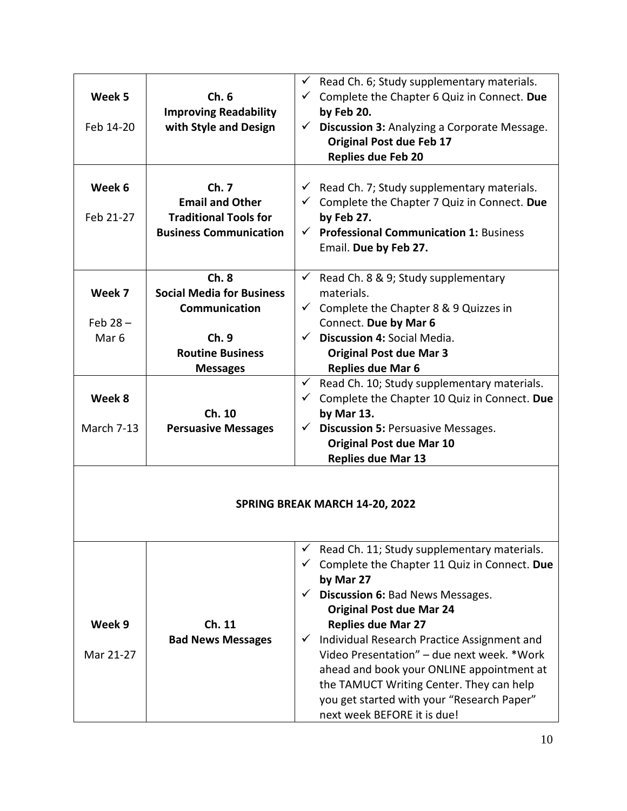| Week 5<br>Feb 14-20                      | Ch.6<br><b>Improving Readability</b><br>with Style and Design                                                   | Read Ch. 6; Study supplementary materials.<br>✓<br>Complete the Chapter 6 Quiz in Connect. Due<br>$\checkmark$<br>by Feb 20.<br>Discussion 3: Analyzing a Corporate Message.<br>$\checkmark$<br><b>Original Post due Feb 17</b><br><b>Replies due Feb 20</b>                                                                                                                                                                                                                                                    |
|------------------------------------------|-----------------------------------------------------------------------------------------------------------------|-----------------------------------------------------------------------------------------------------------------------------------------------------------------------------------------------------------------------------------------------------------------------------------------------------------------------------------------------------------------------------------------------------------------------------------------------------------------------------------------------------------------|
| Week 6<br>Feb 21-27                      | Ch.7<br><b>Email and Other</b><br><b>Traditional Tools for</b><br><b>Business Communication</b>                 | $\checkmark$ Read Ch. 7; Study supplementary materials.<br>$\checkmark$ Complete the Chapter 7 Quiz in Connect. Due<br>by Feb 27.<br><b>Professional Communication 1: Business</b><br>$\checkmark$<br>Email. Due by Feb 27.                                                                                                                                                                                                                                                                                     |
| Week 7<br>Feb $28 -$<br>Mar <sub>6</sub> | Ch.8<br><b>Social Media for Business</b><br>Communication<br>Ch.9<br><b>Routine Business</b><br><b>Messages</b> | $\checkmark$<br>Read Ch. 8 & 9; Study supplementary<br>materials.<br>$\checkmark$ Complete the Chapter 8 & 9 Quizzes in<br>Connect. Due by Mar 6<br>$\checkmark$ Discussion 4: Social Media.<br><b>Original Post due Mar 3</b><br><b>Replies due Mar 6</b>                                                                                                                                                                                                                                                      |
| Week 8<br>March 7-13                     | Ch. 10<br><b>Persuasive Messages</b>                                                                            | Read Ch. 10; Study supplementary materials.<br>$\checkmark$<br>Complete the Chapter 10 Quiz in Connect. Due<br>by Mar 13.<br><b>Discussion 5: Persuasive Messages.</b><br>$\checkmark$<br><b>Original Post due Mar 10</b><br><b>Replies due Mar 13</b>                                                                                                                                                                                                                                                          |
| SPRING BREAK MARCH 14-20, 2022           |                                                                                                                 |                                                                                                                                                                                                                                                                                                                                                                                                                                                                                                                 |
| Week 9<br>Mar 21-27                      | Ch. 11<br><b>Bad News Messages</b>                                                                              | Read Ch. 11; Study supplementary materials.<br>Complete the Chapter 11 Quiz in Connect. Due<br>by Mar 27<br>Discussion 6: Bad News Messages.<br>$\checkmark$<br><b>Original Post due Mar 24</b><br><b>Replies due Mar 27</b><br>Individual Research Practice Assignment and<br>$\checkmark$<br>Video Presentation" - due next week. *Work<br>ahead and book your ONLINE appointment at<br>the TAMUCT Writing Center. They can help<br>you get started with your "Research Paper"<br>next week BEFORE it is due! |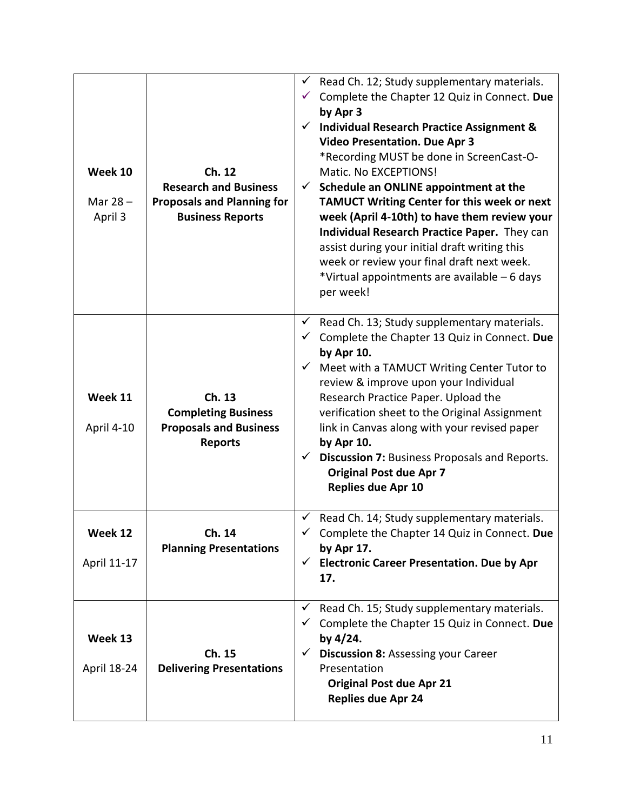| Week 10<br>Mar $28 -$<br>April 3 | Ch. 12<br><b>Research and Business</b><br><b>Proposals and Planning for</b><br><b>Business Reports</b> | Read Ch. 12; Study supplementary materials.<br>$\checkmark$<br>Complete the Chapter 12 Quiz in Connect. Due<br>by Apr 3<br><b>Individual Research Practice Assignment &amp;</b><br><b>Video Presentation. Due Apr 3</b><br>*Recording MUST be done in ScreenCast-O-<br>Matic. No EXCEPTIONS!<br>Schedule an ONLINE appointment at the<br>$\checkmark$<br>TAMUCT Writing Center for this week or next<br>week (April 4-10th) to have them review your<br>Individual Research Practice Paper. They can<br>assist during your initial draft writing this<br>week or review your final draft next week.<br>*Virtual appointments are available - 6 days<br>per week! |
|----------------------------------|--------------------------------------------------------------------------------------------------------|------------------------------------------------------------------------------------------------------------------------------------------------------------------------------------------------------------------------------------------------------------------------------------------------------------------------------------------------------------------------------------------------------------------------------------------------------------------------------------------------------------------------------------------------------------------------------------------------------------------------------------------------------------------|
| Week 11<br>April 4-10            | Ch. 13<br><b>Completing Business</b><br><b>Proposals and Business</b><br><b>Reports</b>                | Read Ch. 13; Study supplementary materials.<br>$\checkmark$<br>Complete the Chapter 13 Quiz in Connect. Due<br>by Apr 10.<br>Meet with a TAMUCT Writing Center Tutor to<br>review & improve upon your Individual<br>Research Practice Paper. Upload the<br>verification sheet to the Original Assignment<br>link in Canvas along with your revised paper<br>by Apr 10.<br>Discussion 7: Business Proposals and Reports.<br><b>Original Post due Apr 7</b><br>Replies due Apr 10                                                                                                                                                                                  |
| Week 12<br>April 11-17           | Ch. 14<br><b>Planning Presentations</b>                                                                | $\checkmark$ Read Ch. 14; Study supplementary materials.<br>Complete the Chapter 14 Quiz in Connect. Due<br>by Apr 17.<br>$\checkmark$ Electronic Career Presentation. Due by Apr<br>17.                                                                                                                                                                                                                                                                                                                                                                                                                                                                         |
| Week 13<br>April 18-24           | Ch. 15<br><b>Delivering Presentations</b>                                                              | Read Ch. 15; Study supplementary materials.<br>✓<br>Complete the Chapter 15 Quiz in Connect. Due<br>by 4/24.<br><b>Discussion 8: Assessing your Career</b><br>Presentation<br><b>Original Post due Apr 21</b><br><b>Replies due Apr 24</b>                                                                                                                                                                                                                                                                                                                                                                                                                       |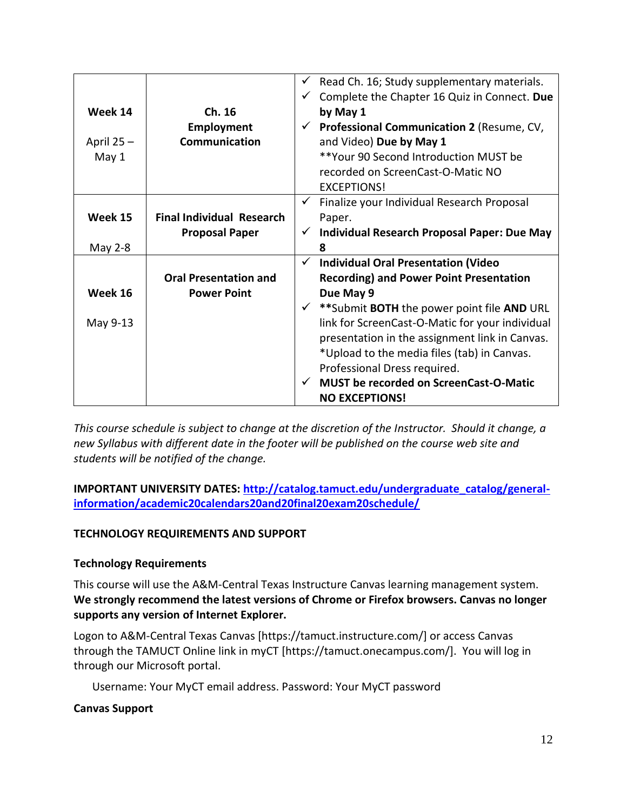|              |                                  |              | Read Ch. 16; Study supplementary materials.            |
|--------------|----------------------------------|--------------|--------------------------------------------------------|
|              |                                  |              | Complete the Chapter 16 Quiz in Connect. Due           |
| Week 14      | Ch. 16                           |              | by May 1                                               |
|              | Employment                       |              | $\checkmark$ Professional Communication 2 (Resume, CV, |
| April $25 -$ | Communication                    |              | and Video) Due by May 1                                |
| May 1        |                                  |              | **Your 90 Second Introduction MUST be                  |
|              |                                  |              | recorded on ScreenCast-O-Matic NO                      |
|              |                                  |              | <b>EXCEPTIONS!</b>                                     |
|              |                                  | $\checkmark$ | Finalize your Individual Research Proposal             |
| Week 15      | <b>Final Individual Research</b> |              | Paper.                                                 |
|              |                                  |              | Individual Research Proposal Paper: Due May            |
|              | <b>Proposal Paper</b>            |              |                                                        |
| May 2-8      |                                  |              | 8                                                      |
|              |                                  | $\checkmark$ | <b>Individual Oral Presentation (Video</b>             |
|              | <b>Oral Presentation and</b>     |              | <b>Recording) and Power Point Presentation</b>         |
| Week 16      | <b>Power Point</b>               |              | Due May 9                                              |
|              |                                  |              | ** Submit BOTH the power point file AND URL            |
| May 9-13     |                                  |              | link for ScreenCast-O-Matic for your individual        |
|              |                                  |              | presentation in the assignment link in Canvas.         |
|              |                                  |              | *Upload to the media files (tab) in Canvas.            |
|              |                                  |              | Professional Dress required.                           |
|              |                                  |              |                                                        |
|              |                                  |              | <b>MUST be recorded on ScreenCast-O-Matic</b>          |
|              |                                  |              | <b>NO EXCEPTIONS!</b>                                  |

*This course schedule is subject to change at the discretion of the Instructor. Should it change, a new Syllabus with different date in the footer will be published on the course web site and students will be notified of the change.*

**IMPORTANT UNIVERSITY DATES: [http://catalog.tamuct.edu/undergraduate\\_catalog/general](http://catalog.tamuct.edu/undergraduate_catalog/general-information/academic20calendars20and20final20exam20schedule/)[information/academic20calendars20and20final20exam20schedule/](http://catalog.tamuct.edu/undergraduate_catalog/general-information/academic20calendars20and20final20exam20schedule/)**

# **TECHNOLOGY REQUIREMENTS AND SUPPORT**

# **Technology Requirements**

This course will use the A&M-Central Texas Instructure Canvas learning management system. **We strongly recommend the latest versions of Chrome or Firefox browsers. Canvas no longer supports any version of Internet Explorer.**

Logon to A&M-Central Texas Canvas [https://tamuct.instructure.com/] or access Canvas through the TAMUCT Online link in myCT [https://tamuct.onecampus.com/]. You will log in through our Microsoft portal.

Username: Your MyCT email address. Password: Your MyCT password

#### **Canvas Support**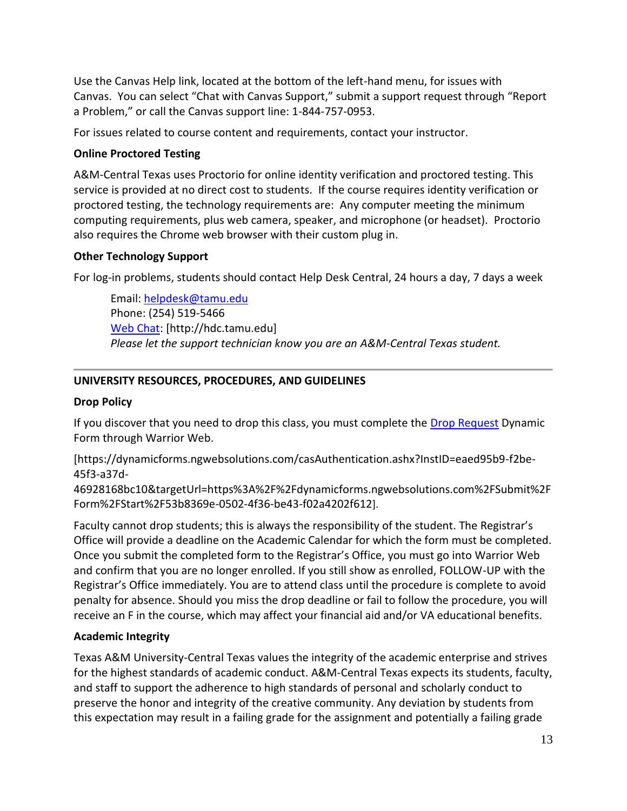Use the Canvas Help link, located at the bottom of the left-hand menu, for issues with Canvas. You can select "Chat with Canvas Support," submit a support request through "Report a Problem," or call the Canvas support line: 1-844-757-0953.

For issues related to course content and requirements, contact your instructor.

### **Online Proctored Testing**

A&M-Central Texas uses Proctorio for online identity verification and proctored testing. This service is provided at no direct cost to students. If the course requires identity verification or proctored testing, the technology requirements are: Any computer meeting the minimum computing requirements, plus web camera, speaker, and microphone (or headset). Proctorio also requires the Chrome web browser with their custom plug in.

### **Other Technology Support**

For log-in problems, students should contact Help Desk Central, 24 hours a day, 7 days a week

Email: [helpdesk@tamu.edu](mailto:helpdesk@tamu.edu) Phone: (254) 519-5466 [Web Chat:](http://hdc.tamu.edu/) [http://hdc.tamu.edu] *Please let the support technician know you are an A&M-Central Texas student.*

# **UNIVERSITY RESOURCES, PROCEDURES, AND GUIDELINES**

#### **Drop Policy**

If you discover that you need to drop this class, you must complete the [Drop Request](https://dynamicforms.ngwebsolutions.com/casAuthentication.ashx?InstID=eaed95b9-f2be-45f3-a37d-46928168bc10&targetUrl=https%3A%2F%2Fdynamicforms.ngwebsolutions.com%2FSubmit%2FForm%2FStart%2F53b8369e-0502-4f36-be43-f02a4202f612) Dynamic Form through Warrior Web.

[https://dynamicforms.ngwebsolutions.com/casAuthentication.ashx?InstID=eaed95b9-f2be-45f3-a37d-

46928168bc10&targetUrl=https%3A%2F%2Fdynamicforms.ngwebsolutions.com%2FSubmit%2F Form%2FStart%2F53b8369e-0502-4f36-be43-f02a4202f612].

Faculty cannot drop students; this is always the responsibility of the student. The Registrar's Office will provide a deadline on the Academic Calendar for which the form must be completed. Once you submit the completed form to the Registrar's Office, you must go into Warrior Web and confirm that you are no longer enrolled. If you still show as enrolled, FOLLOW-UP with the Registrar's Office immediately. You are to attend class until the procedure is complete to avoid penalty for absence. Should you miss the drop deadline or fail to follow the procedure, you will receive an F in the course, which may affect your financial aid and/or VA educational benefits.

# **Academic Integrity**

Texas A&M University-Central Texas values the integrity of the academic enterprise and strives for the highest standards of academic conduct. A&M-Central Texas expects its students, faculty, and staff to support the adherence to high standards of personal and scholarly conduct to preserve the honor and integrity of the creative community. Any deviation by students from this expectation may result in a failing grade for the assignment and potentially a failing grade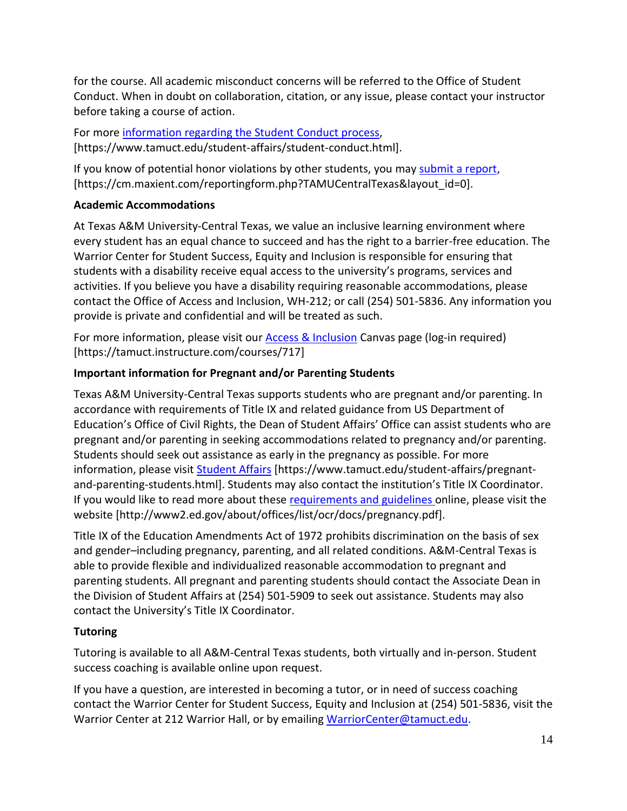for the course. All academic misconduct concerns will be referred to the Office of Student Conduct. When in doubt on collaboration, citation, or any issue, please contact your instructor before taking a course of action.

For more [information](https://nam04.safelinks.protection.outlook.com/?url=https%3A%2F%2Fwww.tamuct.edu%2Fstudent-affairs%2Fstudent-conduct.html&data=04%7C01%7Clisa.bunkowski%40tamuct.edu%7Ccfb6e486f24745f53e1a08d910055cb2%7C9eed4e3000f744849ff193ad8005acec%7C0%7C0%7C637558437485252160%7CUnknown%7CTWFpbGZsb3d8eyJWIjoiMC4wLjAwMDAiLCJQIjoiV2luMzIiLCJBTiI6Ik1haWwiLCJXVCI6Mn0%3D%7C1000&sdata=yjftDEVHvLX%2FhM%2FcFU0B99krV1RgEWR%2BJ%2BhvtoR6TYk%3D&reserved=0) regarding the Student Conduct process, [https://www.tamuct.edu/student-affairs/student-conduct.html].

If you know of potential honor violations by other students, you may [submit](https://nam04.safelinks.protection.outlook.com/?url=https%3A%2F%2Fcm.maxient.com%2Freportingform.php%3FTAMUCentralTexas%26layout_id%3D0&data=04%7C01%7Clisa.bunkowski%40tamuct.edu%7Ccfb6e486f24745f53e1a08d910055cb2%7C9eed4e3000f744849ff193ad8005acec%7C0%7C0%7C637558437485262157%7CUnknown%7CTWFpbGZsb3d8eyJWIjoiMC4wLjAwMDAiLCJQIjoiV2luMzIiLCJBTiI6Ik1haWwiLCJXVCI6Mn0%3D%7C1000&sdata=CXGkOa6uPDPX1IMZ87z3aZDq2n91xfHKu4MMS43Ejjk%3D&reserved=0) a report, [https://cm.maxient.com/reportingform.php?TAMUCentralTexas&layout\_id=0].

# **Academic Accommodations**

At Texas A&M University-Central Texas, we value an inclusive learning environment where every student has an equal chance to succeed and has the right to a barrier-free education. The Warrior Center for Student Success, Equity and Inclusion is responsible for ensuring that students with a disability receive equal access to the university's programs, services and activities. If you believe you have a disability requiring reasonable accommodations, please contact the Office of Access and Inclusion, WH-212; or call (254) 501-5836. Any information you provide is private and confidential and will be treated as such.

For more information, please visit our [Access & Inclusion](https://tamuct.instructure.com/courses/717) Canvas page (log-in required) [https://tamuct.instructure.com/courses/717]

# **Important information for Pregnant and/or Parenting Students**

Texas A&M University-Central Texas supports students who are pregnant and/or parenting. In accordance with requirements of Title IX and related guidance from US Department of Education's Office of Civil Rights, the Dean of Student Affairs' Office can assist students who are pregnant and/or parenting in seeking accommodations related to pregnancy and/or parenting. Students should seek out assistance as early in the pregnancy as possible. For more information, please visit [Student Affairs](https://www.tamuct.edu/student-affairs/pregnant-and-parenting-students.html) [https://www.tamuct.edu/student-affairs/pregnantand-parenting-students.html]. Students may also contact the institution's Title IX Coordinator. If you would like to read more about thes[e requirements and guidelines](http://www2.ed.gov/about/offices/list/ocr/docs/pregnancy.pdf) online, please visit the website [http://www2.ed.gov/about/offices/list/ocr/docs/pregnancy.pdf].

Title IX of the Education Amendments Act of 1972 prohibits discrimination on the basis of sex and gender–including pregnancy, parenting, and all related conditions. A&M-Central Texas is able to provide flexible and individualized reasonable accommodation to pregnant and parenting students. All pregnant and parenting students should contact the Associate Dean in the Division of Student Affairs at (254) 501-5909 to seek out assistance. Students may also contact the University's Title IX Coordinator.

# **Tutoring**

Tutoring is available to all A&M-Central Texas students, both virtually and in-person. Student success coaching is available online upon request.

If you have a question, are interested in becoming a tutor, or in need of success coaching contact the Warrior Center for Student Success, Equity and Inclusion at (254) 501-5836, visit the Warrior Center at 212 Warrior Hall, or by emailing [WarriorCenter@tamuct.edu.](mailto:WarriorCenter@tamuct.edu)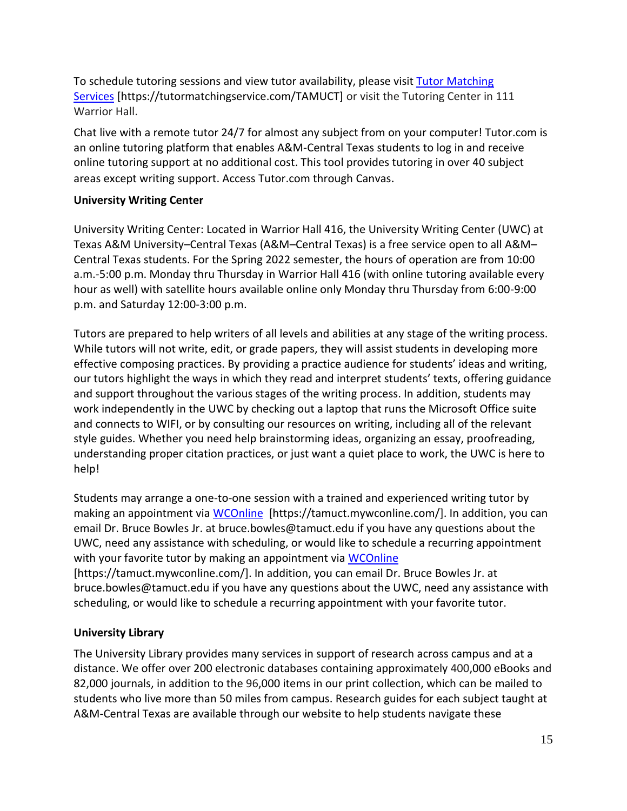To schedule tutoring sessions and view tutor availability, please visit Tutor [Matching](https://tutormatchingservice.com/TAMUCT) [Services](https://tutormatchingservice.com/TAMUCT) [https://tutormatchingservice.com/TAMUCT] or visit the Tutoring Center in 111 Warrior Hall.

Chat live with a remote tutor 24/7 for almost any subject from on your computer! Tutor.com is an online tutoring platform that enables A&M-Central Texas students to log in and receive online tutoring support at no additional cost. This tool provides tutoring in over 40 subject areas except writing support. Access Tutor.com through Canvas.

### **University Writing Center**

University Writing Center: Located in Warrior Hall 416, the University Writing Center (UWC) at Texas A&M University–Central Texas (A&M–Central Texas) is a free service open to all A&M– Central Texas students. For the Spring 2022 semester, the hours of operation are from 10:00 a.m.-5:00 p.m. Monday thru Thursday in Warrior Hall 416 (with online tutoring available every hour as well) with satellite hours available online only Monday thru Thursday from 6:00-9:00 p.m. and Saturday 12:00-3:00 p.m.

Tutors are prepared to help writers of all levels and abilities at any stage of the writing process. While tutors will not write, edit, or grade papers, they will assist students in developing more effective composing practices. By providing a practice audience for students' ideas and writing, our tutors highlight the ways in which they read and interpret students' texts, offering guidance and support throughout the various stages of the writing process. In addition, students may work independently in the UWC by checking out a laptop that runs the Microsoft Office suite and connects to WIFI, or by consulting our resources on writing, including all of the relevant style guides. Whether you need help brainstorming ideas, organizing an essay, proofreading, understanding proper citation practices, or just want a quiet place to work, the UWC is here to help!

Students may arrange a one-to-one session with a trained and experienced writing tutor by making an appointment via [WCOnline](https://tamuct.mywconline.com/) [https://tamuct.mywconline.com/]. In addition, you can email Dr. Bruce Bowles Jr. at bruce.bowles@tamuct.edu if you have any questions about the UWC, need any assistance with scheduling, or would like to schedule a recurring appointment with your favorite tutor by making an appointment via [WCOnline](https://tamuct.mywconline.com/) [https://tamuct.mywconline.com/]. In addition, you can email Dr. Bruce Bowles Jr. at bruce.bowles@tamuct.edu if you have any questions about the UWC, need any assistance with

scheduling, or would like to schedule a recurring appointment with your favorite tutor.

# **University Library**

The University Library provides many services in support of research across campus and at a distance. We offer over 200 electronic databases containing approximately 400,000 eBooks and 82,000 journals, in addition to the 96,000 items in our print collection, which can be mailed to students who live more than 50 miles from campus. Research guides for each subject taught at A&M-Central Texas are available through our website to help students navigate these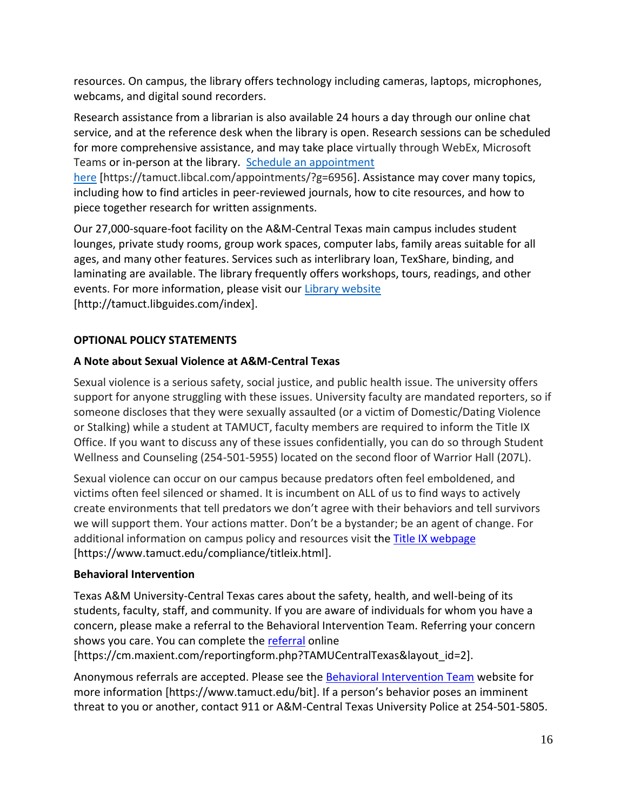resources. On campus, the library offers technology including cameras, laptops, microphones, webcams, and digital sound recorders.

Research assistance from a librarian is also available 24 hours a day through our online chat service, and at the reference desk when the library is open. Research sessions can be scheduled for more comprehensive assistance, and may take place virtually through WebEx, Microsoft Teams or in-person at the library. Schedule an [appointment](https://nam04.safelinks.protection.outlook.com/?url=https%3A%2F%2Ftamuct.libcal.com%2Fappointments%2F%3Fg%3D6956&data=04%7C01%7Clisa.bunkowski%40tamuct.edu%7Cde2c07d9f5804f09518008d9ab7ba6ff%7C9eed4e3000f744849ff193ad8005acec%7C0%7C0%7C637729369835011558%7CUnknown%7CTWFpbGZsb3d8eyJWIjoiMC4wLjAwMDAiLCJQIjoiV2luMzIiLCJBTiI6Ik1haWwiLCJXVCI6Mn0%3D%7C3000&sdata=KhtjgRSAw9aq%2FoBsB6wyu8b7PSuGN5EGPypzr3Ty2No%3D&reserved=0)

[here](https://nam04.safelinks.protection.outlook.com/?url=https%3A%2F%2Ftamuct.libcal.com%2Fappointments%2F%3Fg%3D6956&data=04%7C01%7Clisa.bunkowski%40tamuct.edu%7Cde2c07d9f5804f09518008d9ab7ba6ff%7C9eed4e3000f744849ff193ad8005acec%7C0%7C0%7C637729369835011558%7CUnknown%7CTWFpbGZsb3d8eyJWIjoiMC4wLjAwMDAiLCJQIjoiV2luMzIiLCJBTiI6Ik1haWwiLCJXVCI6Mn0%3D%7C3000&sdata=KhtjgRSAw9aq%2FoBsB6wyu8b7PSuGN5EGPypzr3Ty2No%3D&reserved=0) [https://tamuct.libcal.com/appointments/?g=6956]. Assistance may cover many topics, including how to find articles in peer-reviewed journals, how to cite resources, and how to piece together research for written assignments.

Our 27,000-square-foot facility on the A&M-Central Texas main campus includes student lounges, private study rooms, group work spaces, computer labs, family areas suitable for all ages, and many other features. Services such as interlibrary loan, TexShare, binding, and laminating are available. The library frequently offers workshops, tours, readings, and other events. For more information, please visit our Library [website](https://nam04.safelinks.protection.outlook.com/?url=https%3A%2F%2Ftamuct.libguides.com%2Findex&data=04%7C01%7Clisa.bunkowski%40tamuct.edu%7C7d8489e8839a4915335f08d916f067f2%7C9eed4e3000f744849ff193ad8005acec%7C0%7C0%7C637566044056484222%7CUnknown%7CTWFpbGZsb3d8eyJWIjoiMC4wLjAwMDAiLCJQIjoiV2luMzIiLCJBTiI6Ik1haWwiLCJXVCI6Mn0%3D%7C1000&sdata=2R755V6rcIyedGrd4Os5rkgn1PvhHKU3kUV1vBKiHFo%3D&reserved=0) [http://tamuct.libguides.com/index].

# **OPTIONAL POLICY STATEMENTS**

# **A Note about Sexual Violence at A&M-Central Texas**

Sexual violence is a serious safety, social justice, and public health issue. The university offers support for anyone struggling with these issues. University faculty are mandated reporters, so if someone discloses that they were sexually assaulted (or a victim of Domestic/Dating Violence or Stalking) while a student at TAMUCT, faculty members are required to inform the Title IX Office. If you want to discuss any of these issues confidentially, you can do so through Student Wellness and Counseling (254-501-5955) located on the second floor of Warrior Hall (207L).

Sexual violence can occur on our campus because predators often feel emboldened, and victims often feel silenced or shamed. It is incumbent on ALL of us to find ways to actively create environments that tell predators we don't agree with their behaviors and tell survivors we will support them. Your actions matter. Don't be a bystander; be an agent of change. For additional information on campus policy and resources visit the [Title IX webpage](https://www.tamuct.edu/compliance/titleix.html) [\[https://www.tamuct.edu/compliance/titleix.html\]](https://www.tamuct.edu/compliance/titleix.html).

# **Behavioral Intervention**

Texas A&M University-Central Texas cares about the safety, health, and well-being of its students, faculty, staff, and community. If you are aware of individuals for whom you have a concern, please make a referral to the Behavioral Intervention Team. Referring your concern shows you care. You can complete the [referral](https://cm.maxient.com/reportingform.php?TAMUCentralTexas&layout_id=2) online

[https://cm.maxient.com/reportingform.php?TAMUCentralTexas&layout\_id=2].

Anonymous referrals are accepted. Please see the [Behavioral Intervention Team](https://www.tamuct.edu/bit) website for more information [https://www.tamuct.edu/bit]. If a person's behavior poses an imminent threat to you or another, contact 911 or A&M-Central Texas University Police at 254-501-5805.